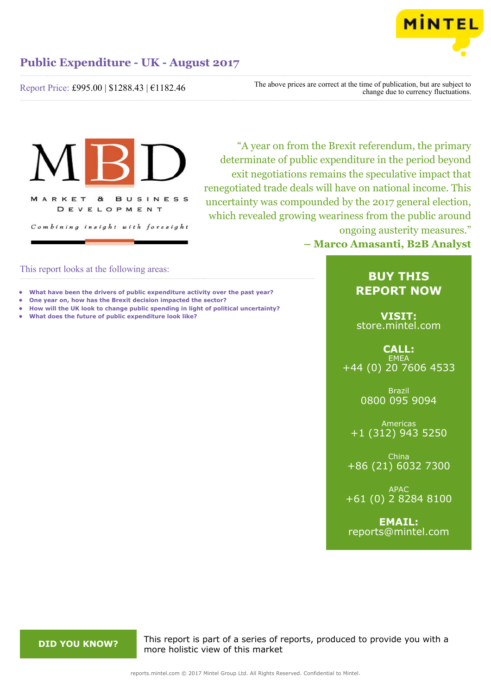

Report Price: £995.00 | \$1288.43 | €1182.46

The above prices are correct at the time of publication, but are subject to change due to currency fluctuations.



"A year on from the Brexit referendum, the primary determinate of public expenditure in the period beyond exit negotiations remains the speculative impact that renegotiated trade deals will have on national income. This uncertainty was compounded by the 2017 general election, which revealed growing weariness from the public around ongoing austerity measures."

**– Marco Amasanti, B2B Analyst**

# This report looks at the following areas:

- **• What have been the drivers of public expenditure activity over the past year?**
- **• One year on, how has the Brexit decision impacted the sector?**
- **• How will the UK look to change public spending in light of political uncertainty?**
- **• What does the future of public expenditure look like?**

# **BUY THIS REPORT NOW**

**VISIT:** [store.mintel.com](http://reports.mintel.com//display/store/795159/)

**CALL: EMEA** +44 (0) 20 7606 4533

> Brazil 0800 095 9094

Americas +1 (312) 943 5250

China +86 (21) 6032 7300

APAC +61 (0) 2 8284 8100

**EMAIL:** [reports@mintel.com](mailto:reports@mintel.com)

**DID YOU KNOW?** This report is part of a series of reports, produced to provide you with a more holistic view of this market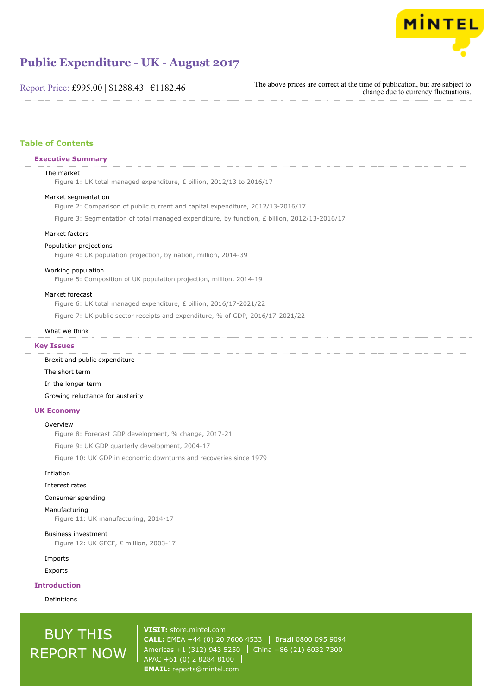

Report Price: £995.00 | \$1288.43 | €1182.46

The above prices are correct at the time of publication, but are subject to change due to currency fluctuations.

## **Table of Contents**

#### **Executive Summary**

#### The market

Figure 1: UK total managed expenditure, £ billion, 2012/13 to 2016/17

#### Market segmentation

Figure 2: Comparison of public current and capital expenditure, 2012/13-2016/17

Figure 3: Segmentation of total managed expenditure, by function, £ billion, 2012/13-2016/17

#### Market factors

#### Population projections

Figure 4: UK population projection, by nation, million, 2014-39

#### Working population

Figure 5: Composition of UK population projection, million, 2014-19

#### Market forecast

Figure 6: UK total managed expenditure, £ billion, 2016/17-2021/22

Figure 7: UK public sector receipts and expenditure, % of GDP, 2016/17-2021/22

### What we think

#### **Key Issues**

Brexit and public expenditure The short term In the longer term

Growing reluctance for austerity

### **UK Economy**

#### **Overview**

Figure 8: Forecast GDP development, % change, 2017-21

Figure 9: UK GDP quarterly development, 2004-17

Figure 10: UK GDP in economic downturns and recoveries since 1979

## Inflation

Interest rates

### Consumer spending

Manufacturing

Figure 11: UK manufacturing, 2014-17

#### Business investment

Figure 12: UK GFCF, £ million, 2003-17

### Imports

Exports

### **Introduction**

Definitions

# BUY THIS REPORT NOW

**VISIT:** [store.mintel.com](http://reports.mintel.com//display/store/795159/) **CALL:** EMEA +44 (0) 20 7606 4533 | Brazil 0800 095 9094 Americas +1 (312) 943 5250 | China +86 (21) 6032 7300 APAC +61 (0) 2 8284 8100 **EMAIL:** [reports@mintel.com](mailto:reports@mintel.com)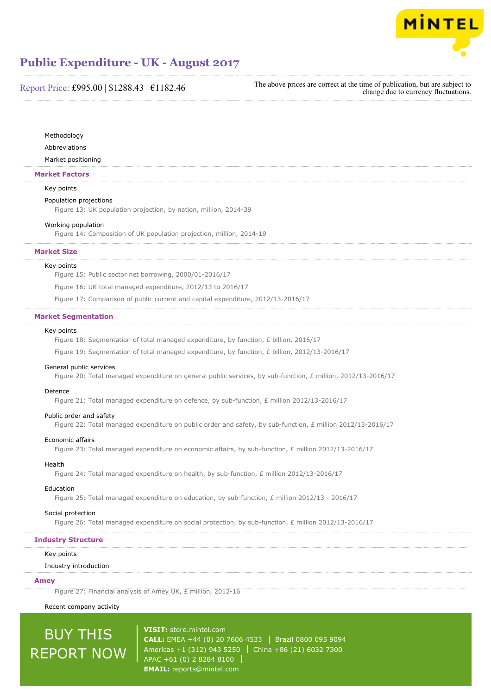

# Report Price: £995.00 | \$1288.43 | €1182.46

The above prices are correct at the time of publication, but are subject to change due to currency fluctuations.

Methodology

Abbreviations

Market positioning

#### **Market Factors**

#### Key points

#### Population projections

Figure 13: UK population projection, by nation, million, 2014-39

#### Working population

Figure 14: Composition of UK population projection, million, 2014-19

#### **Market Size**

#### Key points

Figure 15: Public sector net borrowing, 2000/01-2016/17

Figure 16: UK total managed expenditure, 2012/13 to 2016/17

Figure 17: Comparison of public current and capital expenditure, 2012/13-2016/17

#### **Market Segmentation**

#### Key points

Figure 18: Segmentation of total managed expenditure, by function, £ billion, 2016/17

Figure 19: Segmentation of total managed expenditure, by function, £ billion, 2012/13-2016/17

#### General public services

Figure 20: Total managed expenditure on general public services, by sub-function, £ million, 2012/13-2016/17

#### Defence

Figure 21: Total managed expenditure on defence, by sub-function, £ million 2012/13-2016/17

#### Public order and safety

Figure 22: Total managed expenditure on public order and safety, by sub-function, £ million 2012/13-2016/17

#### Economic affairs

Figure 23: Total managed expenditure on economic affairs, by sub-function, £ million 2012/13-2016/17

#### Health

Figure 24: Total managed expenditure on health, by sub-function, £ million 2012/13-2016/17

#### Education

Figure 25: Total managed expenditure on education, by sub-function, £ million 2012/13 - 2016/17

#### Social protection

Figure 26: Total managed expenditure on social protection, by sub-function, £ million 2012/13-2016/17

## **Industry Structure**

#### Key points

#### Industry introduction

#### **Amey**

Figure 27: Financial analysis of Amey UK, £ million, 2012-16

Recent company activity

# BUY THIS REPORT NOW

**VISIT:** [store.mintel.com](http://reports.mintel.com//display/store/795159/) **CALL:** EMEA +44 (0) 20 7606 4533 | Brazil 0800 095 9094 Americas +1 (312) 943 5250 | China +86 (21) 6032 7300 APAC +61 (0) 2 8284 8100 **EMAIL:** [reports@mintel.com](mailto:reports@mintel.com)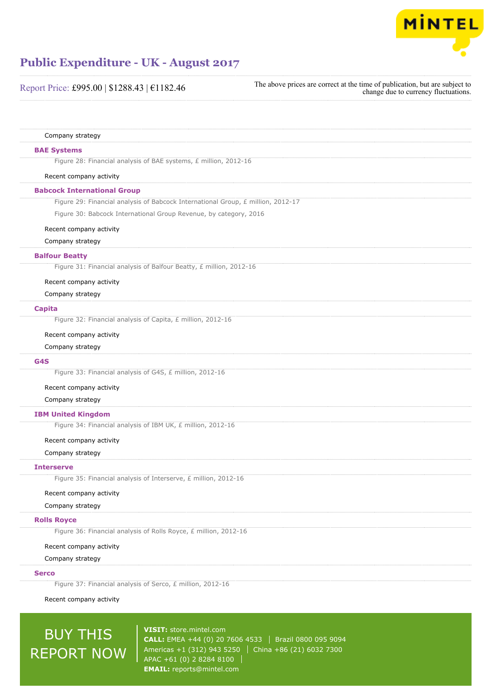

| Report Price: £995.00   \$1288.43   €1182.46                                           | The above prices are correct at the time of publication, but are subject to<br>change due to currency fluctuations. |
|----------------------------------------------------------------------------------------|---------------------------------------------------------------------------------------------------------------------|
|                                                                                        |                                                                                                                     |
| Company strategy                                                                       |                                                                                                                     |
| <b>BAE Systems</b>                                                                     |                                                                                                                     |
| Figure 28: Financial analysis of BAE systems, £ million, 2012-16                       |                                                                                                                     |
| Recent company activity                                                                |                                                                                                                     |
| <b>Babcock International Group</b>                                                     |                                                                                                                     |
| Figure 29: Financial analysis of Babcock International Group, £ million, 2012-17       |                                                                                                                     |
| Figure 30: Babcock International Group Revenue, by category, 2016                      |                                                                                                                     |
| Recent company activity                                                                |                                                                                                                     |
| Company strategy                                                                       |                                                                                                                     |
| <b>Balfour Beatty</b>                                                                  |                                                                                                                     |
| Figure 31: Financial analysis of Balfour Beatty, £ million, 2012-16                    |                                                                                                                     |
| Recent company activity                                                                |                                                                                                                     |
| Company strategy                                                                       |                                                                                                                     |
| <b>Capita</b>                                                                          |                                                                                                                     |
| Figure 32: Financial analysis of Capita, £ million, 2012-16                            |                                                                                                                     |
| Recent company activity                                                                |                                                                                                                     |
| Company strategy                                                                       |                                                                                                                     |
| G4S                                                                                    |                                                                                                                     |
| Figure 33: Financial analysis of G4S, £ million, 2012-16                               |                                                                                                                     |
| Recent company activity                                                                |                                                                                                                     |
| Company strategy                                                                       |                                                                                                                     |
| <b>IBM United Kingdom</b>                                                              |                                                                                                                     |
| Figure 34: Financial analysis of IBM UK, £ million, 2012-16                            |                                                                                                                     |
| Recent company activity                                                                |                                                                                                                     |
| Company strategy                                                                       |                                                                                                                     |
| <b>Interserve</b>                                                                      |                                                                                                                     |
| Figure 35: Financial analysis of Interserve, £ million, 2012-16                        |                                                                                                                     |
| Recent company activity                                                                |                                                                                                                     |
| Company strategy                                                                       |                                                                                                                     |
| <b>Rolls Royce</b><br>Figure 36: Financial analysis of Rolls Royce, £ million, 2012-16 |                                                                                                                     |
| Recent company activity                                                                |                                                                                                                     |
| Company strategy                                                                       |                                                                                                                     |
| <b>Serco</b>                                                                           |                                                                                                                     |
| Figure 37: Financial analysis of Serco, £ million, 2012-16                             |                                                                                                                     |
| Recent company activity                                                                |                                                                                                                     |
|                                                                                        |                                                                                                                     |

# BUY THIS REPORT NOW

**VISIT:** [store.mintel.com](http://reports.mintel.com//display/store/795159/) **CALL:** EMEA +44 (0) 20 7606 4533 | Brazil 0800 095 9094 Americas +1 (312) 943 5250 China +86 (21) 6032 7300 APAC +61 (0) 2 8284 8100 **EMAIL:** [reports@mintel.com](mailto:reports@mintel.com)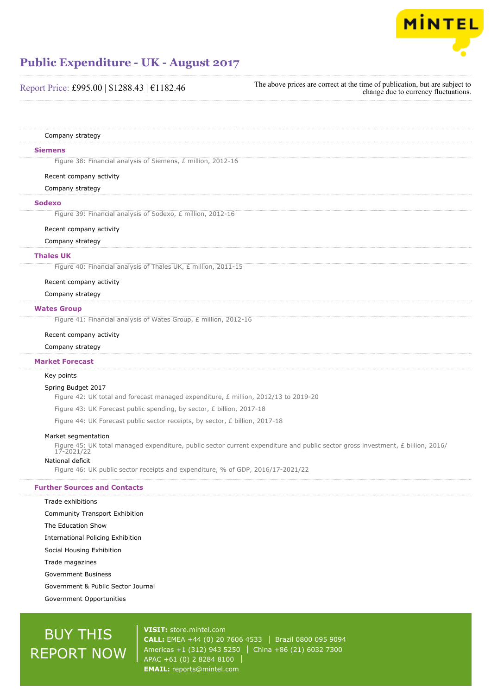

| Report Price: £995.00   \$1288.43   €1182.46                                          | The above prices are correct at the time of publication, but are subject to<br>change due to currency fluctuations. |
|---------------------------------------------------------------------------------------|---------------------------------------------------------------------------------------------------------------------|
|                                                                                       |                                                                                                                     |
| Company strategy                                                                      |                                                                                                                     |
| <b>Siemens</b>                                                                        |                                                                                                                     |
| Figure 38: Financial analysis of Siemens, £ million, 2012-16                          |                                                                                                                     |
| Recent company activity                                                               |                                                                                                                     |
| Company strategy                                                                      |                                                                                                                     |
| <b>Sodexo</b>                                                                         |                                                                                                                     |
| Figure 39: Financial analysis of Sodexo, £ million, 2012-16                           |                                                                                                                     |
| Recent company activity                                                               |                                                                                                                     |
| Company strategy                                                                      |                                                                                                                     |
| <b>Thales UK</b>                                                                      |                                                                                                                     |
| Figure 40: Financial analysis of Thales UK, £ million, 2011-15                        |                                                                                                                     |
| Recent company activity                                                               |                                                                                                                     |
| Company strategy                                                                      |                                                                                                                     |
| <b>Wates Group</b>                                                                    |                                                                                                                     |
| Figure 41: Financial analysis of Wates Group, £ million, 2012-16                      |                                                                                                                     |
| Recent company activity                                                               |                                                                                                                     |
| Company strategy                                                                      |                                                                                                                     |
| <b>Market Forecast</b>                                                                |                                                                                                                     |
| Key points                                                                            |                                                                                                                     |
| Spring Budget 2017                                                                    |                                                                                                                     |
| Figure 42: UK total and forecast managed expenditure, $E$ million, 2012/13 to 2019-20 |                                                                                                                     |

Figure 43: UK Forecast public spending, by sector, £ billion, 2017-18

Figure 44: UK Forecast public sector receipts, by sector, £ billion, 2017-18

## Market segmentation

Figure 45: UK total managed expenditure, public sector current expenditure and public sector gross investment, £ billion, 2016/ 17-2021/22

## National deficit

Figure 46: UK public sector receipts and expenditure, % of GDP, 2016/17-2021/22

## **Further Sources and Contacts**

Trade exhibitions Community Transport Exhibition The Education Show International Policing Exhibition Social Housing Exhibition Trade magazines Government Business Government & Public Sector Journal

Government Opportunities

# BUY THIS REPORT NOW

**VISIT:** [store.mintel.com](http://reports.mintel.com//display/store/795159/) **CALL:** EMEA +44 (0) 20 7606 4533 | Brazil 0800 095 9094 Americas +1 (312) 943 5250 | China +86 (21) 6032 7300 APAC +61 (0) 2 8284 8100 **EMAIL:** [reports@mintel.com](mailto:reports@mintel.com)